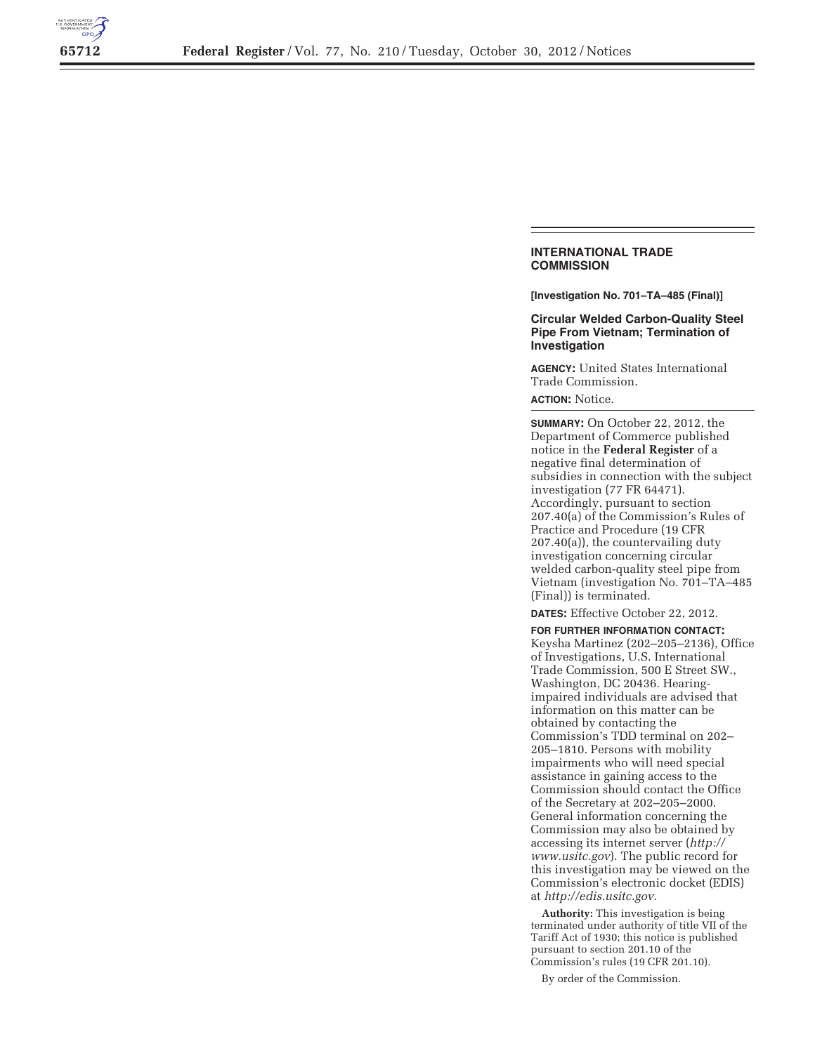

## **INTERNATIONAL TRADE COMMISSION**

**[Investigation No. 701–TA–485 (Final)]** 

## **Circular Welded Carbon-Quality Steel Pipe From Vietnam; Termination of Investigation**

**AGENCY:** United States International Trade Commission.

## **ACTION:** Notice.

**SUMMARY:** On October 22, 2012, the Department of Commerce published notice in the **Federal Register** of a negative final determination of subsidies in connection with the subject investigation (77 FR 64471). Accordingly, pursuant to section 207.40(a) of the Commission's Rules of Practice and Procedure (19 CFR 207.40(a)), the countervailing duty investigation concerning circular welded carbon-quality steel pipe from Vietnam (investigation No. 701–TA–485 (Final)) is terminated.

**DATES:** Effective October 22, 2012.

**FOR FURTHER INFORMATION CONTACT:**  Keysha Martinez (202–205–2136), Office of Investigations, U.S. International Trade Commission, 500 E Street SW., Washington, DC 20436. Hearingimpaired individuals are advised that information on this matter can be obtained by contacting the Commission's TDD terminal on 202– 205–1810. Persons with mobility impairments who will need special assistance in gaining access to the Commission should contact the Office of the Secretary at 202–205–2000. General information concerning the Commission may also be obtained by accessing its internet server (*http:// www.usitc.gov*). The public record for this investigation may be viewed on the Commission's electronic docket (EDIS) at *http://edis.usitc.gov.* 

**Authority:** This investigation is being terminated under authority of title VII of the Tariff Act of 1930; this notice is published pursuant to section 201.10 of the Commission's rules (19 CFR 201.10).

By order of the Commission.